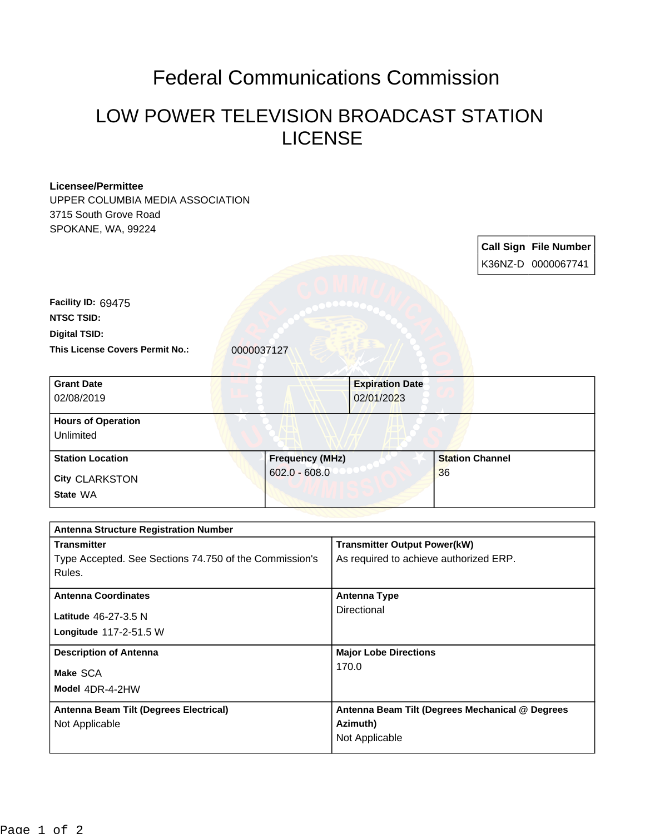## Federal Communications Commission

## LOW POWER TELEVISION BROADCAST STATION LICENSE

| <b>Licensee/Permittee</b>                              |                 |                              |                                        |                                                 |  |  |                              |
|--------------------------------------------------------|-----------------|------------------------------|----------------------------------------|-------------------------------------------------|--|--|------------------------------|
| UPPER COLUMBIA MEDIA ASSOCIATION                       |                 |                              |                                        |                                                 |  |  |                              |
| 3715 South Grove Road                                  |                 |                              |                                        |                                                 |  |  |                              |
| SPOKANE, WA, 99224                                     |                 |                              |                                        |                                                 |  |  |                              |
|                                                        |                 |                              |                                        |                                                 |  |  | <b>Call Sign File Number</b> |
|                                                        |                 |                              |                                        |                                                 |  |  | K36NZ-D 0000067741           |
|                                                        |                 |                              |                                        |                                                 |  |  |                              |
| Facility ID: 69475                                     |                 |                              |                                        |                                                 |  |  |                              |
| <b>NTSC TSID:</b>                                      |                 |                              |                                        |                                                 |  |  |                              |
| <b>Digital TSID:</b>                                   |                 |                              |                                        |                                                 |  |  |                              |
| This License Covers Permit No.:                        | 0000037127      |                              |                                        |                                                 |  |  |                              |
|                                                        |                 |                              |                                        |                                                 |  |  |                              |
| <b>Grant Date</b>                                      |                 |                              |                                        | <b>Expiration Date</b>                          |  |  |                              |
| 02/08/2019                                             |                 |                              |                                        | 02/01/2023                                      |  |  |                              |
| <b>Hours of Operation</b>                              |                 |                              |                                        |                                                 |  |  |                              |
| Unlimited                                              |                 |                              |                                        |                                                 |  |  |                              |
| <b>Station Location</b>                                |                 | <b>Frequency (MHz)</b>       |                                        | <b>Station Channel</b>                          |  |  |                              |
| <b>City CLARKSTON</b>                                  | $602.0 - 608.0$ |                              |                                        | 36                                              |  |  |                              |
| State WA                                               |                 |                              |                                        |                                                 |  |  |                              |
|                                                        |                 |                              |                                        |                                                 |  |  |                              |
| <b>Antenna Structure Registration Number</b>           |                 |                              |                                        |                                                 |  |  |                              |
| <b>Transmitter</b>                                     |                 |                              | <b>Transmitter Output Power(kW)</b>    |                                                 |  |  |                              |
| Type Accepted. See Sections 74.750 of the Commission's |                 |                              | As required to achieve authorized ERP. |                                                 |  |  |                              |
| Rules.                                                 |                 |                              |                                        |                                                 |  |  |                              |
| <b>Antenna Coordinates</b>                             |                 |                              | <b>Antenna Type</b>                    |                                                 |  |  |                              |
| Latitude 46-27-3.5 N                                   |                 |                              | Directional                            |                                                 |  |  |                              |
| Longitude 117-2-51.5 W                                 |                 |                              |                                        |                                                 |  |  |                              |
| <b>Description of Antenna</b>                          |                 | <b>Major Lobe Directions</b> |                                        |                                                 |  |  |                              |
| Make SCA                                               |                 |                              | 170.0                                  |                                                 |  |  |                              |
| Model 4DR-4-2HW                                        |                 |                              |                                        |                                                 |  |  |                              |
| Antenna Beam Tilt (Degrees Electrical)                 |                 |                              |                                        | Antenna Beam Tilt (Degrees Mechanical @ Degrees |  |  |                              |
| Not Applicable                                         |                 | Azimuth)                     |                                        |                                                 |  |  |                              |
|                                                        |                 |                              | Not Applicable                         |                                                 |  |  |                              |